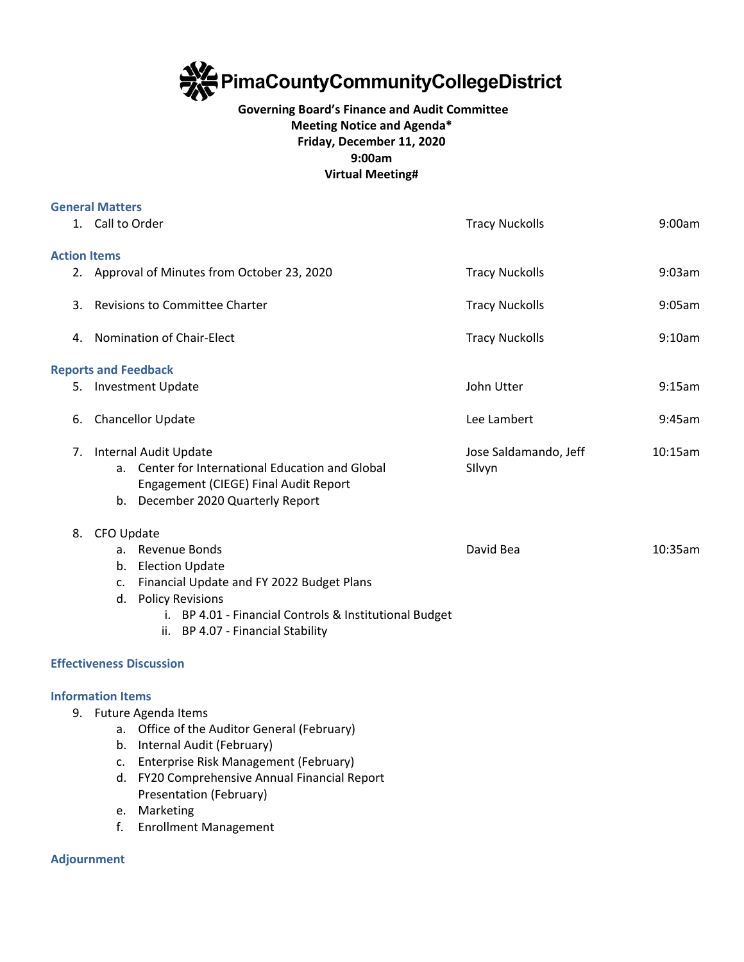

## **Governing Board's Finance and Audit Committee Meeting Notice and Agenda\* Friday, December 11, 2020 9:00am Virtual Meeting#**

|                     | <b>General Matters</b>                           |                                                                                                                                                                                                                                                                      |                                 |         |
|---------------------|--------------------------------------------------|----------------------------------------------------------------------------------------------------------------------------------------------------------------------------------------------------------------------------------------------------------------------|---------------------------------|---------|
|                     | 1. Call to Order                                 |                                                                                                                                                                                                                                                                      | <b>Tracy Nuckolls</b>           | 9:00am  |
| <b>Action Items</b> |                                                  |                                                                                                                                                                                                                                                                      |                                 |         |
|                     | 2. Approval of Minutes from October 23, 2020     |                                                                                                                                                                                                                                                                      | <b>Tracy Nuckolls</b>           | 9:03am  |
| 3.                  | <b>Revisions to Committee Charter</b>            |                                                                                                                                                                                                                                                                      | <b>Tracy Nuckolls</b>           | 9:05am  |
|                     | 4. Nomination of Chair-Elect                     |                                                                                                                                                                                                                                                                      | <b>Tracy Nuckolls</b>           | 9:10am  |
|                     |                                                  | <b>Reports and Feedback</b>                                                                                                                                                                                                                                          |                                 |         |
|                     | 5. Investment Update                             |                                                                                                                                                                                                                                                                      | John Utter                      | 9:15am  |
|                     | 6. Chancellor Update                             |                                                                                                                                                                                                                                                                      | Lee Lambert                     | 9:45am  |
| 7.                  |                                                  | Internal Audit Update<br>a. Center for International Education and Global<br>Engagement (CIEGE) Final Audit Report<br>b. December 2020 Quarterly Report                                                                                                              | Jose Saldamando, Jeff<br>Silvyn | 10:15am |
| 8.                  | CFO Update<br>b.<br>c.                           | a. Revenue Bonds<br><b>Election Update</b><br>Financial Update and FY 2022 Budget Plans<br>d. Policy Revisions<br>i. BP 4.01 - Financial Controls & Institutional Budget<br>ii. BP 4.07 - Financial Stability                                                        | David Bea                       | 10:35am |
|                     |                                                  | <b>Effectiveness Discussion</b>                                                                                                                                                                                                                                      |                                 |         |
|                     | <b>Information Items</b><br>c.<br>d.<br>e.<br>f. | 9. Future Agenda Items<br>a. Office of the Auditor General (February)<br>b. Internal Audit (February)<br>Enterprise Risk Management (February)<br>FY20 Comprehensive Annual Financial Report<br>Presentation (February)<br>Marketing<br><b>Enrollment Management</b> |                                 |         |

**Adjournment**